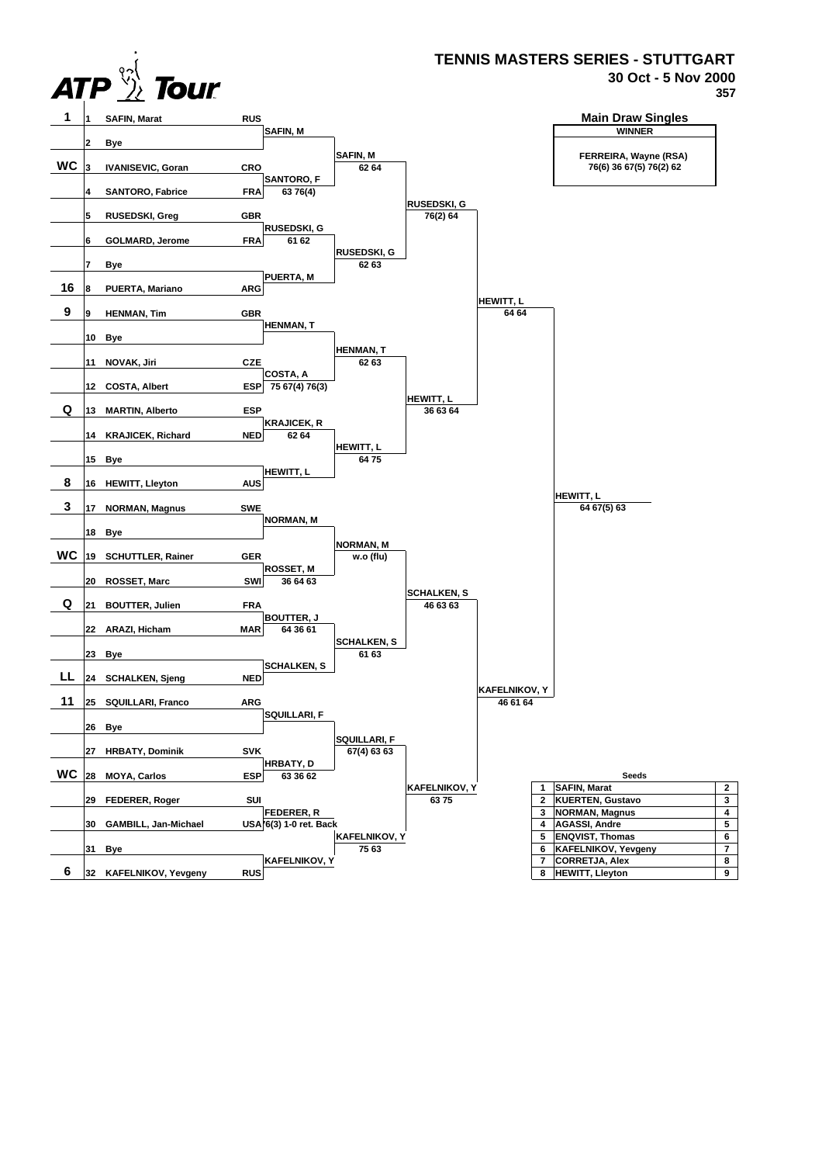

## **TENNIS MASTERS SERIES - STUTTGART**

**30 Oct - 5 Nov 2000**

**357**